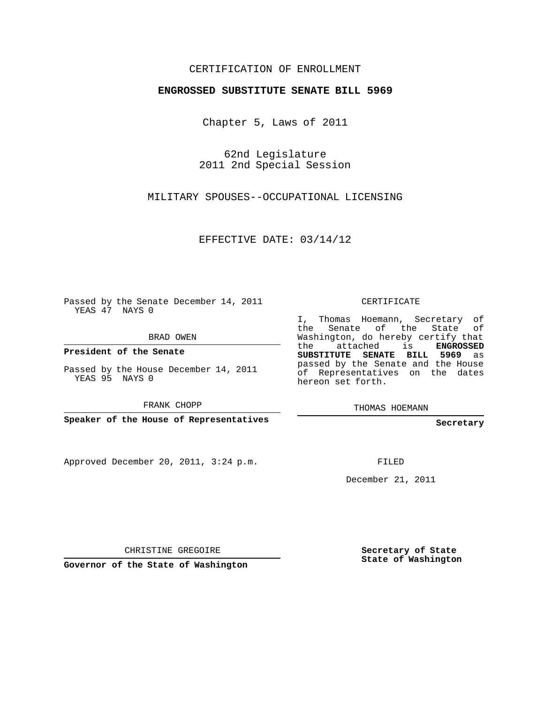## CERTIFICATION OF ENROLLMENT

## **ENGROSSED SUBSTITUTE SENATE BILL 5969**

Chapter 5, Laws of 2011

62nd Legislature 2011 2nd Special Session

MILITARY SPOUSES--OCCUPATIONAL LICENSING

EFFECTIVE DATE: 03/14/12

Passed by the Senate December 14, 2011 YEAS 47 NAYS 0

BRAD OWEN

**President of the Senate**

Passed by the House December 14, 2011 YEAS 95 NAYS 0

FRANK CHOPP

**Speaker of the House of Representatives**

Approved December 20, 2011, 3:24 p.m.

CERTIFICATE

I, Thomas Hoemann, Secretary of the Senate of the State of Washington, do hereby certify that the attached is **ENGROSSED SUBSTITUTE SENATE BILL 5969** as passed by the Senate and the House of Representatives on the dates hereon set forth.

THOMAS HOEMANN

**Secretary**

FILED

December 21, 2011

CHRISTINE GREGOIRE

**Governor of the State of Washington**

**Secretary of State State of Washington**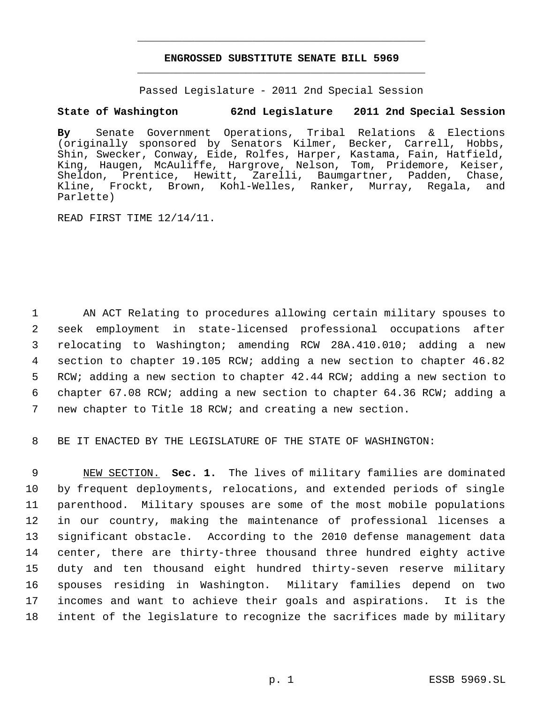## **ENGROSSED SUBSTITUTE SENATE BILL 5969** \_\_\_\_\_\_\_\_\_\_\_\_\_\_\_\_\_\_\_\_\_\_\_\_\_\_\_\_\_\_\_\_\_\_\_\_\_\_\_\_\_\_\_\_\_

\_\_\_\_\_\_\_\_\_\_\_\_\_\_\_\_\_\_\_\_\_\_\_\_\_\_\_\_\_\_\_\_\_\_\_\_\_\_\_\_\_\_\_\_\_

Passed Legislature - 2011 2nd Special Session

## **State of Washington 62nd Legislature 2011 2nd Special Session**

**By** Senate Government Operations, Tribal Relations & Elections (originally sponsored by Senators Kilmer, Becker, Carrell, Hobbs, Shin, Swecker, Conway, Eide, Rolfes, Harper, Kastama, Fain, Hatfield, King, Haugen, McAuliffe, Hargrove, Nelson, Tom, Pridemore, Keiser, Sheldon, Prentice, Hewitt, Zarelli, Baumgartner, Padden, Chase, Kline, Frockt, Brown, Kohl-Welles, Ranker, Murray, Regala, and Parlette)

READ FIRST TIME 12/14/11.

 AN ACT Relating to procedures allowing certain military spouses to seek employment in state-licensed professional occupations after relocating to Washington; amending RCW 28A.410.010; adding a new section to chapter 19.105 RCW; adding a new section to chapter 46.82 RCW; adding a new section to chapter 42.44 RCW; adding a new section to chapter 67.08 RCW; adding a new section to chapter 64.36 RCW; adding a new chapter to Title 18 RCW; and creating a new section.

8 BE IT ENACTED BY THE LEGISLATURE OF THE STATE OF WASHINGTON:

 NEW SECTION. **Sec. 1.** The lives of military families are dominated by frequent deployments, relocations, and extended periods of single parenthood. Military spouses are some of the most mobile populations in our country, making the maintenance of professional licenses a significant obstacle. According to the 2010 defense management data center, there are thirty-three thousand three hundred eighty active duty and ten thousand eight hundred thirty-seven reserve military spouses residing in Washington. Military families depend on two incomes and want to achieve their goals and aspirations. It is the intent of the legislature to recognize the sacrifices made by military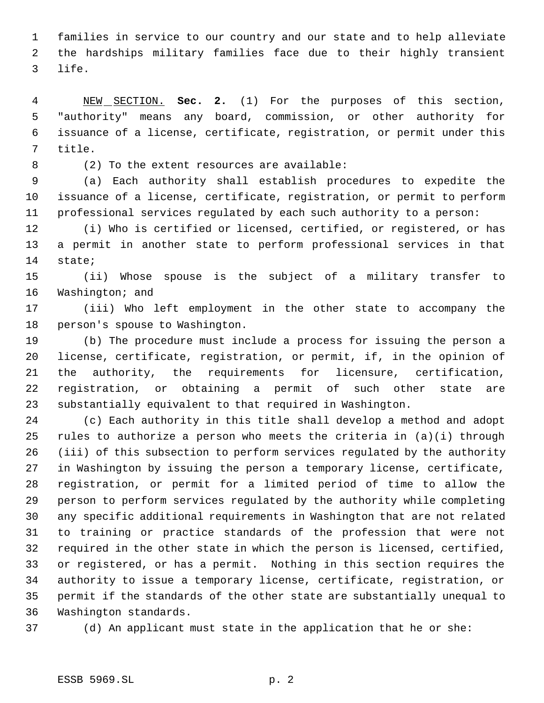families in service to our country and our state and to help alleviate the hardships military families face due to their highly transient life.

 NEW SECTION. **Sec. 2.** (1) For the purposes of this section, "authority" means any board, commission, or other authority for issuance of a license, certificate, registration, or permit under this title.

8 (2) To the extent resources are available:

 (a) Each authority shall establish procedures to expedite the issuance of a license, certificate, registration, or permit to perform professional services regulated by each such authority to a person:

 (i) Who is certified or licensed, certified, or registered, or has a permit in another state to perform professional services in that state;

 (ii) Whose spouse is the subject of a military transfer to Washington; and

 (iii) Who left employment in the other state to accompany the person's spouse to Washington.

 (b) The procedure must include a process for issuing the person a license, certificate, registration, or permit, if, in the opinion of the authority, the requirements for licensure, certification, registration, or obtaining a permit of such other state are substantially equivalent to that required in Washington.

 (c) Each authority in this title shall develop a method and adopt rules to authorize a person who meets the criteria in (a)(i) through (iii) of this subsection to perform services regulated by the authority in Washington by issuing the person a temporary license, certificate, registration, or permit for a limited period of time to allow the person to perform services regulated by the authority while completing any specific additional requirements in Washington that are not related to training or practice standards of the profession that were not required in the other state in which the person is licensed, certified, or registered, or has a permit. Nothing in this section requires the authority to issue a temporary license, certificate, registration, or permit if the standards of the other state are substantially unequal to Washington standards.

(d) An applicant must state in the application that he or she: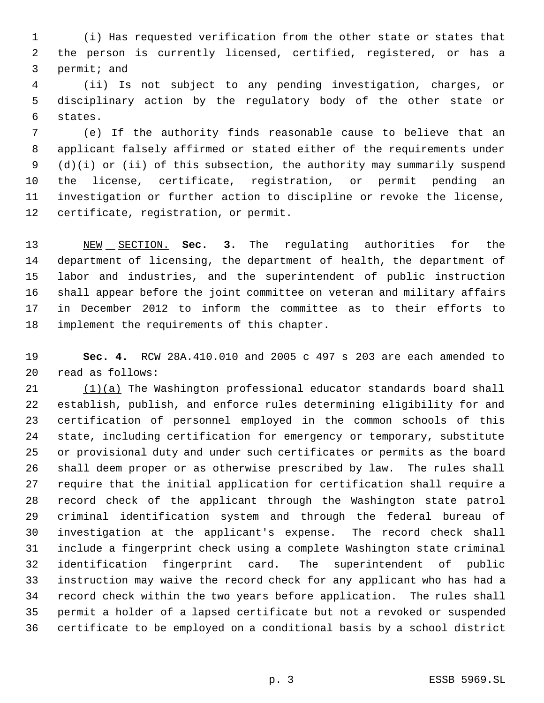(i) Has requested verification from the other state or states that the person is currently licensed, certified, registered, or has a permit; and

 (ii) Is not subject to any pending investigation, charges, or disciplinary action by the regulatory body of the other state or states.

 (e) If the authority finds reasonable cause to believe that an applicant falsely affirmed or stated either of the requirements under (d)(i) or (ii) of this subsection, the authority may summarily suspend the license, certificate, registration, or permit pending an investigation or further action to discipline or revoke the license, certificate, registration, or permit.

 NEW SECTION. **Sec. 3.** The regulating authorities for the department of licensing, the department of health, the department of labor and industries, and the superintendent of public instruction shall appear before the joint committee on veteran and military affairs in December 2012 to inform the committee as to their efforts to implement the requirements of this chapter.

 **Sec. 4.** RCW 28A.410.010 and 2005 c 497 s 203 are each amended to read as follows:

 $(1)(a)$  The Washington professional educator standards board shall establish, publish, and enforce rules determining eligibility for and certification of personnel employed in the common schools of this state, including certification for emergency or temporary, substitute or provisional duty and under such certificates or permits as the board shall deem proper or as otherwise prescribed by law. The rules shall require that the initial application for certification shall require a record check of the applicant through the Washington state patrol criminal identification system and through the federal bureau of investigation at the applicant's expense. The record check shall include a fingerprint check using a complete Washington state criminal identification fingerprint card. The superintendent of public instruction may waive the record check for any applicant who has had a record check within the two years before application. The rules shall permit a holder of a lapsed certificate but not a revoked or suspended certificate to be employed on a conditional basis by a school district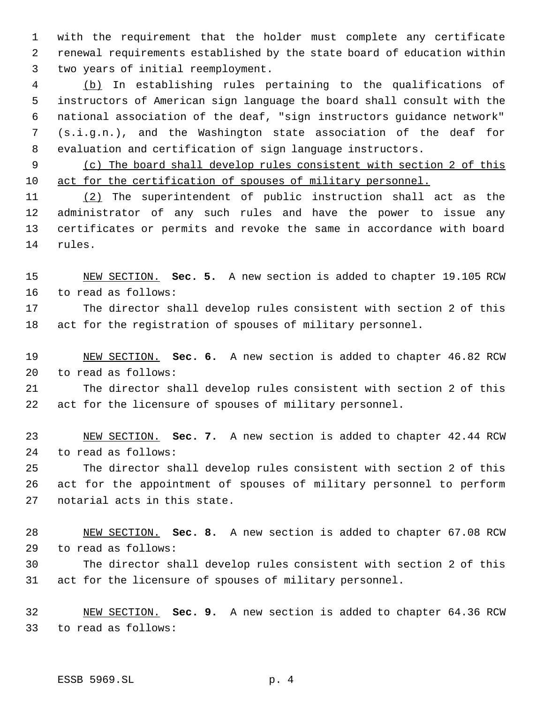with the requirement that the holder must complete any certificate renewal requirements established by the state board of education within two years of initial reemployment.

 (b) In establishing rules pertaining to the qualifications of instructors of American sign language the board shall consult with the national association of the deaf, "sign instructors guidance network" (s.i.g.n.), and the Washington state association of the deaf for evaluation and certification of sign language instructors.

 (c) The board shall develop rules consistent with section 2 of this act for the certification of spouses of military personnel.

 (2) The superintendent of public instruction shall act as the administrator of any such rules and have the power to issue any certificates or permits and revoke the same in accordance with board rules.

 NEW SECTION. **Sec. 5.** A new section is added to chapter 19.105 RCW to read as follows: The director shall develop rules consistent with section 2 of this

act for the registration of spouses of military personnel.

 NEW SECTION. **Sec. 6.** A new section is added to chapter 46.82 RCW to read as follows:

 The director shall develop rules consistent with section 2 of this act for the licensure of spouses of military personnel.

 NEW SECTION. **Sec. 7.** A new section is added to chapter 42.44 RCW to read as follows:

 The director shall develop rules consistent with section 2 of this act for the appointment of spouses of military personnel to perform notarial acts in this state.

 NEW SECTION. **Sec. 8.** A new section is added to chapter 67.08 RCW to read as follows:

 The director shall develop rules consistent with section 2 of this act for the licensure of spouses of military personnel.

 NEW SECTION. **Sec. 9.** A new section is added to chapter 64.36 RCW to read as follows: